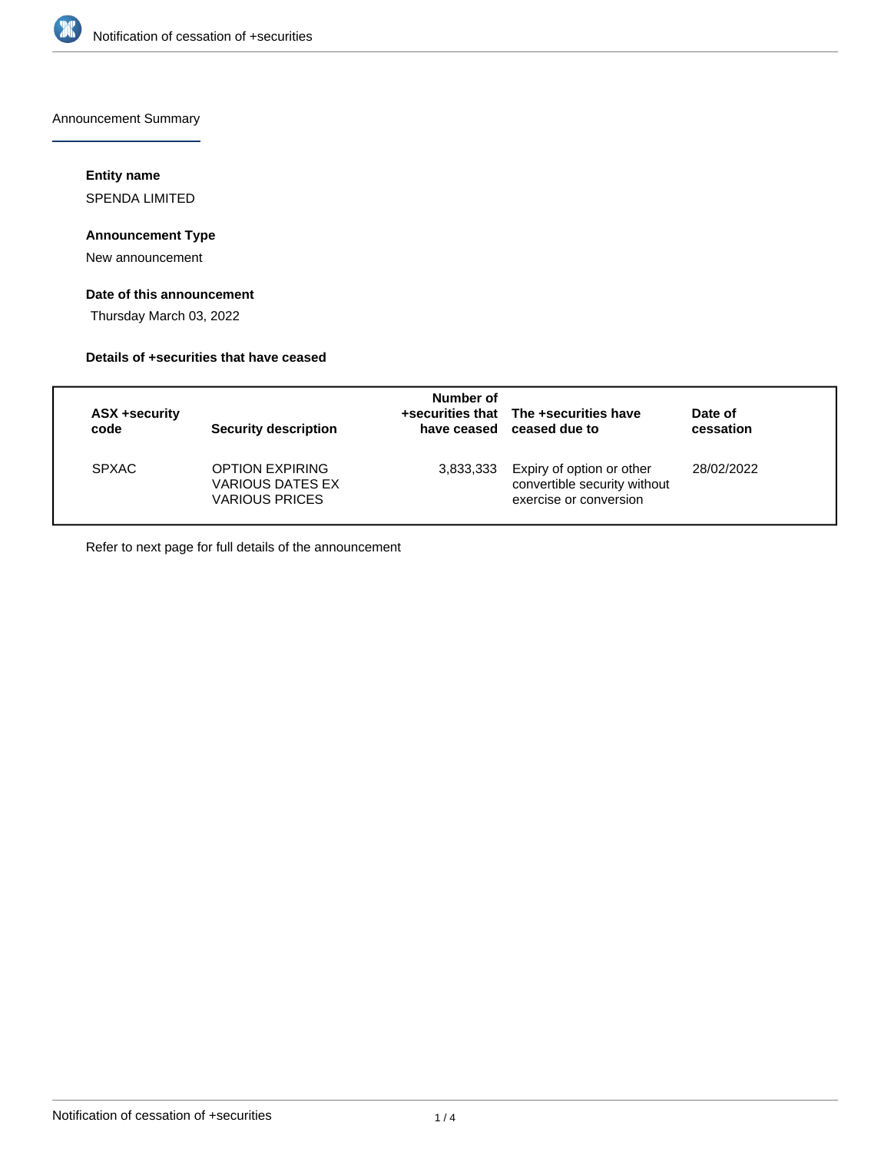

Announcement Summary

## **Entity name**

SPENDA LIMITED

## **Announcement Type**

New announcement

# **Date of this announcement**

Thursday March 03, 2022

## **Details of +securities that have ceased**

| ASX +security<br>code | Security description                                                | Number of | +securities that The +securities have<br>have ceased ceased due to                  | Date of<br>cessation |
|-----------------------|---------------------------------------------------------------------|-----------|-------------------------------------------------------------------------------------|----------------------|
| <b>SPXAC</b>          | <b>OPTION EXPIRING</b><br>VARIOUS DATES EX<br><b>VARIOUS PRICES</b> | 3,833,333 | Expiry of option or other<br>convertible security without<br>exercise or conversion | 28/02/2022           |

Refer to next page for full details of the announcement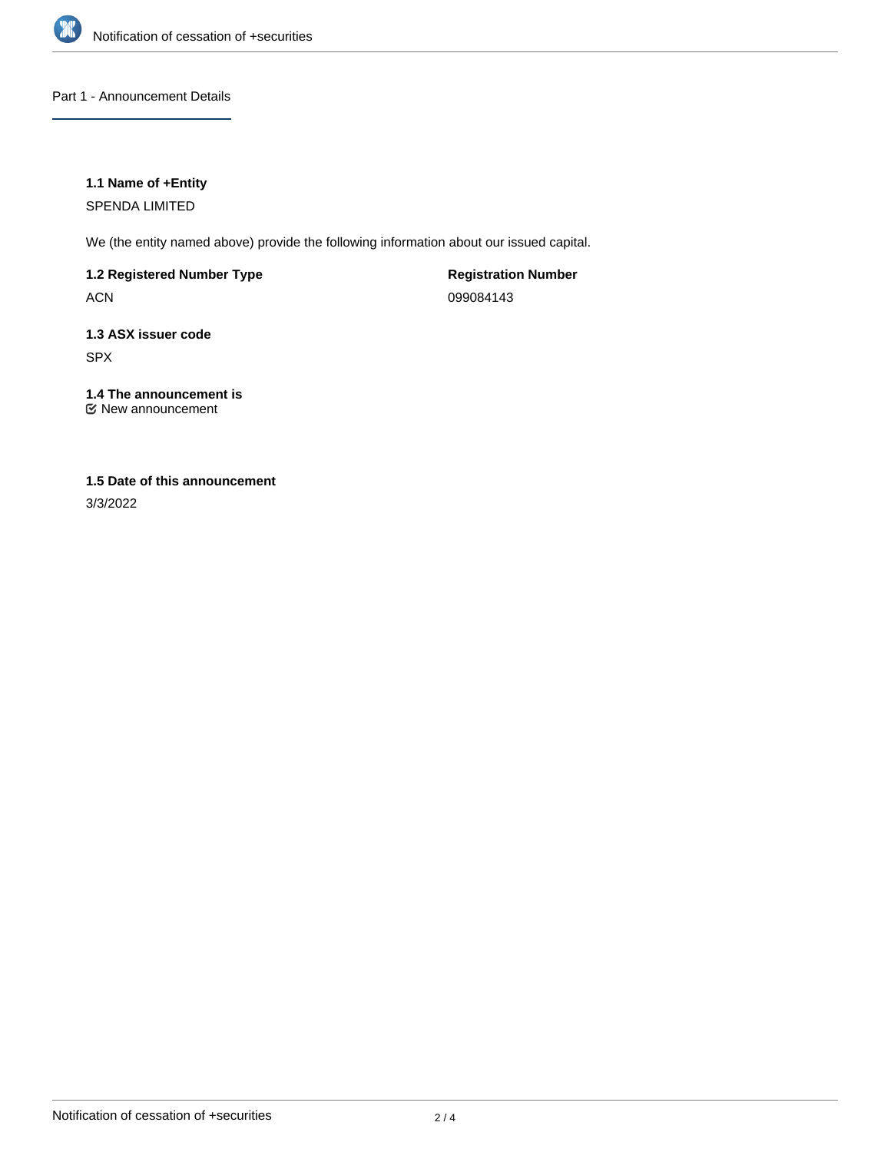

Part 1 - Announcement Details

## **1.1 Name of +Entity**

SPENDA LIMITED

We (the entity named above) provide the following information about our issued capital.

**1.2 Registered Number Type**

ACN

**Registration Number** 099084143

**1.3 ASX issuer code** SPX

**1.4 The announcement is** New announcement

## **1.5 Date of this announcement**

3/3/2022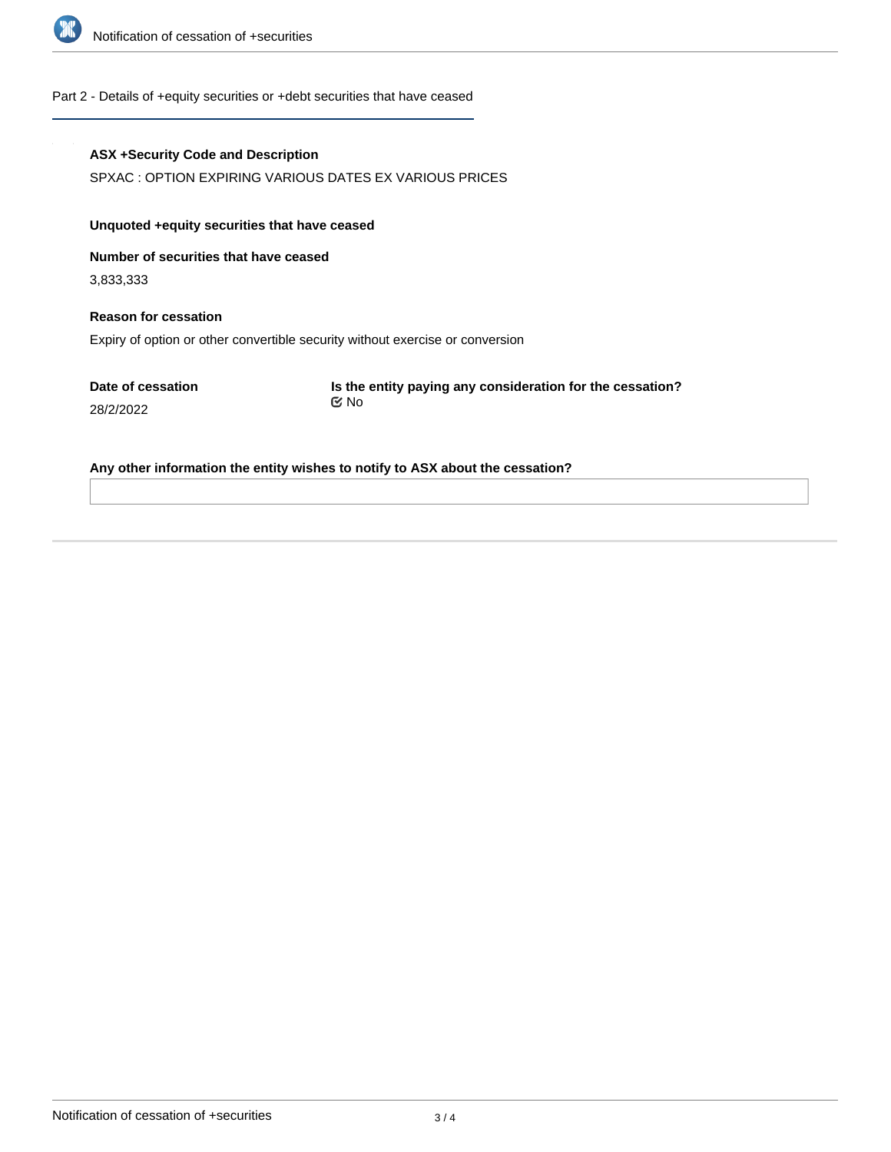

#### Part 2 - Details of +equity securities or +debt securities that have ceased

#### **ASX +Security Code and Description**

SPXAC : OPTION EXPIRING VARIOUS DATES EX VARIOUS PRICES

## **Unquoted +equity securities that have ceased**

**Number of securities that have ceased**

3,833,333

# **Reason for cessation** Expiry of option or other convertible security without exercise or conversion

**Date of cessation** 28/2/2022

**Is the entity paying any consideration for the cessation?** No

#### **Any other information the entity wishes to notify to ASX about the cessation?**